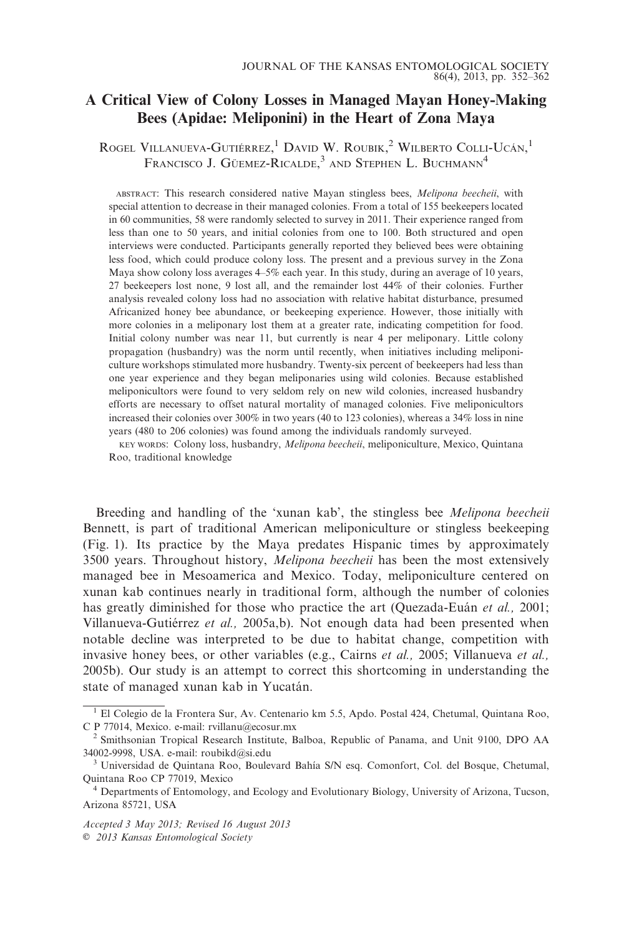# A Critical View of Colony Losses in Managed Mayan Honey-Making Bees (Apidae: Meliponini) in the Heart of Zona Maya

ROGEL VILLANUEVA-GUTIÉRREZ, <sup>1</sup> DAVID W. ROUBIK, <sup>2</sup> WILBERTO COLLI-UCÁN, <sup>1</sup> Francisco J. Güemez-Ricalde,<sup>3</sup> and Stephen L. Buchmann<sup>4</sup>

ABSTRACT: This research considered native Mayan stingless bees, Melipona beecheii, with special attention to decrease in their managed colonies. From a total of 155 beekeepers located in 60 communities, 58 were randomly selected to survey in 2011. Their experience ranged from less than one to 50 years, and initial colonies from one to 100. Both structured and open interviews were conducted. Participants generally reported they believed bees were obtaining less food, which could produce colony loss. The present and a previous survey in the Zona Maya show colony loss averages 4–5% each year. In this study, during an average of 10 years, 27 beekeepers lost none, 9 lost all, and the remainder lost 44% of their colonies. Further analysis revealed colony loss had no association with relative habitat disturbance, presumed Africanized honey bee abundance, or beekeeping experience. However, those initially with more colonies in a meliponary lost them at a greater rate, indicating competition for food. Initial colony number was near 11, but currently is near 4 per meliponary. Little colony propagation (husbandry) was the norm until recently, when initiatives including meliponiculture workshops stimulated more husbandry. Twenty-six percent of beekeepers had less than one year experience and they began meliponaries using wild colonies. Because established meliponicultors were found to very seldom rely on new wild colonies, increased husbandry efforts are necessary to offset natural mortality of managed colonies. Five meliponicultors increased their colonies over 300% in two years (40 to 123 colonies), whereas a 34% loss in nine years (480 to 206 colonies) was found among the individuals randomly surveyed.

KEY WORDS: Colony loss, husbandry, *Melipona beecheii*, meliponiculture, Mexico, Quintana Roo, traditional knowledge

Breeding and handling of the 'xunan kab', the stingless bee Melipona beecheii Bennett, is part of traditional American meliponiculture or stingless beekeeping (Fig. 1). Its practice by the Maya predates Hispanic times by approximately 3500 years. Throughout history, *Melipona beecheii* has been the most extensively managed bee in Mesoamerica and Mexico. Today, meliponiculture centered on xunan kab continues nearly in traditional form, although the number of colonies has greatly diminished for those who practice the art (Quezada-Euán *et al.*, 2001; Villanueva-Gutiérrez et al., 2005a,b). Not enough data had been presented when notable decline was interpreted to be due to habitat change, competition with invasive honey bees, or other variables (e.g., Cairns *et al.*, 2005; Villanueva *et al.*, 2005b). Our study is an attempt to correct this shortcoming in understanding the state of managed xunan kab in Yucatán.

<sup>&</sup>lt;sup>1</sup> El Colegio de la Frontera Sur, Av. Centenario km 5.5, Apdo. Postal 424, Chetumal, Quintana Roo, C P 77014, Mexico. e-mail: rvillanu@ecosur.mx <sup>2</sup> Smithsonian Tropical Research Institute, Balboa, Republic of Panama, and Unit 9100, DPO AA

<sup>34002-9998,</sup> USA. e-mail: roubikd@si.edu<br><sup>3</sup> Universidad de Quintana Roo, Boulevard Bahía S/N esq. Comonfort, Col. del Bosque, Chetumal,

Quintana Roo CP 77019, Mexico <sup>4</sup> Departments of Entomology, and Ecology and Evolutionary Biology, University of Arizona, Tucson,

Arizona 85721, USA

Accepted 3 May 2013; Revised 16 August 2013  $O$  2013 Kansas Entomological Society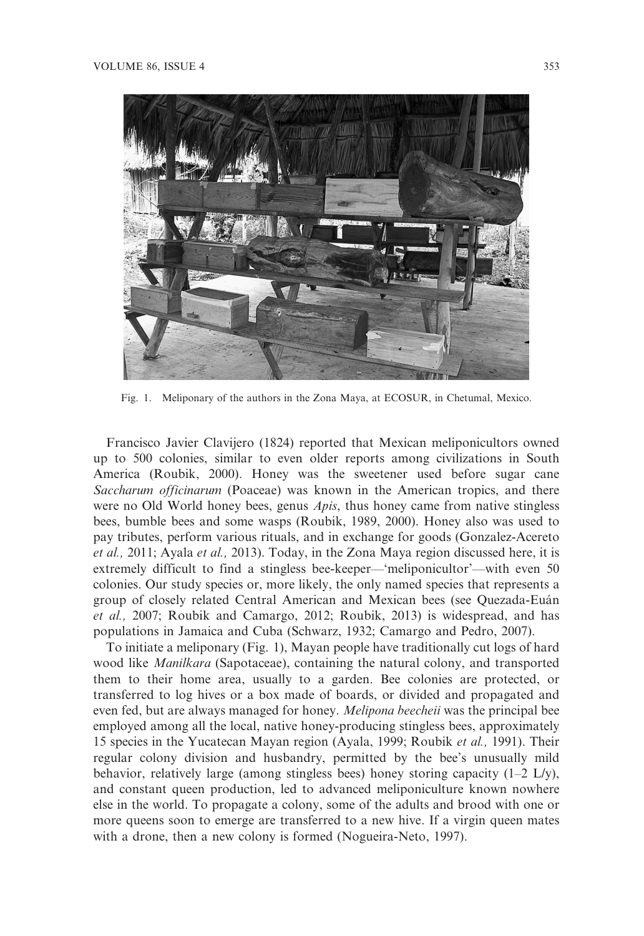

Fig. 1. Meliponary of the authors in the Zona Maya, at ECOSUR, in Chetumal, Mexico.

Francisco Javier Clavijero (1824) reported that Mexican meliponicultors owned up to 500 colonies, similar to even older reports among civilizations in South America (Roubik, 2000). Honey was the sweetener used before sugar cane Saccharum officinarum (Poaceae) was known in the American tropics, and there were no Old World honey bees, genus *Apis*, thus honey came from native stingless bees, bumble bees and some wasps (Roubik, 1989, 2000). Honey also was used to pay tributes, perform various rituals, and in exchange for goods (Gonzalez-Acereto et al., 2011; Ayala et al., 2013). Today, in the Zona Maya region discussed here, it is extremely difficult to find a stingless bee-keeper—'meliponicultor'—with even 50 colonies. Our study species or, more likely, the only named species that represents a group of closely related Central American and Mexican bees (see Quezada-Euán et al., 2007; Roubik and Camargo, 2012; Roubik, 2013) is widespread, and has populations in Jamaica and Cuba (Schwarz, 1932; Camargo and Pedro, 2007).

To initiate a meliponary (Fig. 1), Mayan people have traditionally cut logs of hard wood like Manilkara (Sapotaceae), containing the natural colony, and transported them to their home area, usually to a garden. Bee colonies are protected, or transferred to log hives or a box made of boards, or divided and propagated and even fed, but are always managed for honey. Melipona beecheii was the principal bee employed among all the local, native honey-producing stingless bees, approximately 15 species in the Yucatecan Mayan region (Ayala, 1999; Roubik et al., 1991). Their regular colony division and husbandry, permitted by the bee's unusually mild behavior, relatively large (among stingless bees) honey storing capacity  $(1-2 \text{ L/y})$ , and constant queen production, led to advanced meliponiculture known nowhere else in the world. To propagate a colony, some of the adults and brood with one or more queens soon to emerge are transferred to a new hive. If a virgin queen mates with a drone, then a new colony is formed (Nogueira-Neto, 1997).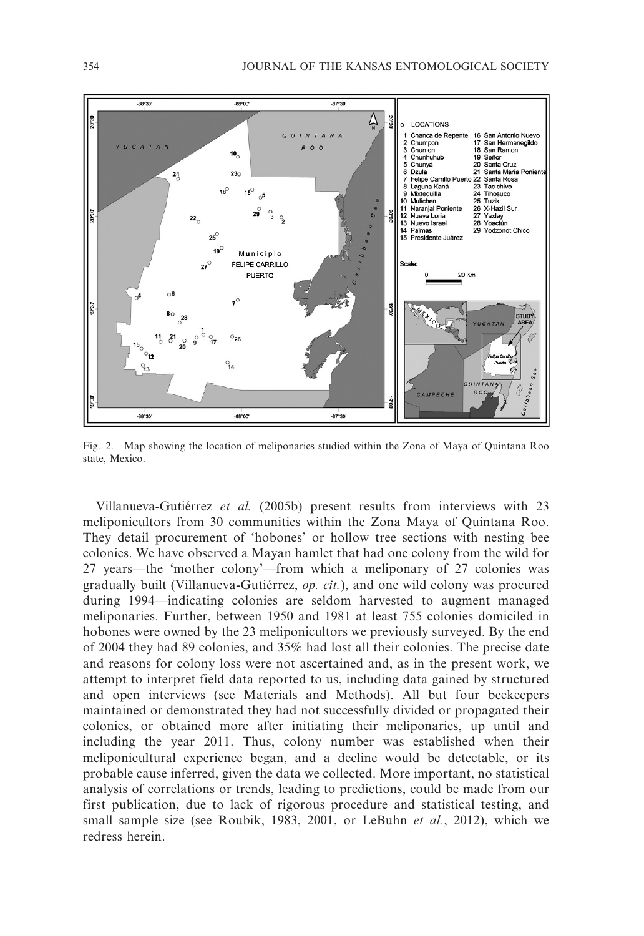

Fig. 2. Map showing the location of meliponaries studied within the Zona of Maya of Quintana Roo state, Mexico.

Villanueva-Gutiérrez et al. (2005b) present results from interviews with 23 meliponicultors from 30 communities within the Zona Maya of Quintana Roo. They detail procurement of 'hobones' or hollow tree sections with nesting bee colonies. We have observed a Mayan hamlet that had one colony from the wild for 27 years—the 'mother colony'—from which a meliponary of 27 colonies was gradually built (Villanueva-Gutiérrez,  $op. cit.$ ), and one wild colony was procured during 1994—indicating colonies are seldom harvested to augment managed meliponaries. Further, between 1950 and 1981 at least 755 colonies domiciled in hobones were owned by the 23 meliponicultors we previously surveyed. By the end of 2004 they had 89 colonies, and 35% had lost all their colonies. The precise date and reasons for colony loss were not ascertained and, as in the present work, we attempt to interpret field data reported to us, including data gained by structured and open interviews (see Materials and Methods). All but four beekeepers maintained or demonstrated they had not successfully divided or propagated their colonies, or obtained more after initiating their meliponaries, up until and including the year 2011. Thus, colony number was established when their meliponicultural experience began, and a decline would be detectable, or its probable cause inferred, given the data we collected. More important, no statistical analysis of correlations or trends, leading to predictions, could be made from our first publication, due to lack of rigorous procedure and statistical testing, and small sample size (see Roubik, 1983, 2001, or LeBuhn et al., 2012), which we redress herein.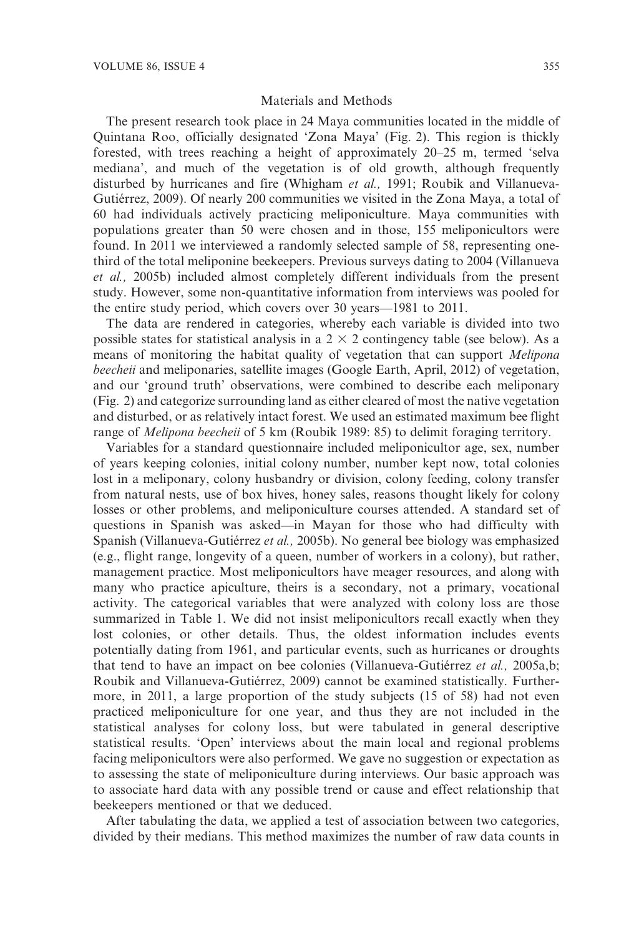#### Materials and Methods

The present research took place in 24 Maya communities located in the middle of Quintana Roo, officially designated 'Zona Maya' (Fig. 2). This region is thickly forested, with trees reaching a height of approximately 20–25 m, termed 'selva mediana', and much of the vegetation is of old growth, although frequently disturbed by hurricanes and fire (Whigham et al., 1991; Roubik and Villanueva-Gutiérrez, 2009). Of nearly 200 communities we visited in the Zona Maya, a total of 60 had individuals actively practicing meliponiculture. Maya communities with populations greater than 50 were chosen and in those, 155 meliponicultors were found. In 2011 we interviewed a randomly selected sample of 58, representing onethird of the total meliponine beekeepers. Previous surveys dating to 2004 (Villanueva et al., 2005b) included almost completely different individuals from the present study. However, some non-quantitative information from interviews was pooled for the entire study period, which covers over 30 years—1981 to 2011.

The data are rendered in categories, whereby each variable is divided into two possible states for statistical analysis in a  $2 \times 2$  contingency table (see below). As a means of monitoring the habitat quality of vegetation that can support *Melipona* beecheii and meliponaries, satellite images (Google Earth, April, 2012) of vegetation, and our 'ground truth' observations, were combined to describe each meliponary (Fig. 2) and categorize surrounding land as either cleared of most the native vegetation and disturbed, or as relatively intact forest. We used an estimated maximum bee flight range of Melipona beecheii of 5 km (Roubik 1989: 85) to delimit foraging territory.

Variables for a standard questionnaire included meliponicultor age, sex, number of years keeping colonies, initial colony number, number kept now, total colonies lost in a meliponary, colony husbandry or division, colony feeding, colony transfer from natural nests, use of box hives, honey sales, reasons thought likely for colony losses or other problems, and meliponiculture courses attended. A standard set of questions in Spanish was asked—in Mayan for those who had difficulty with Spanish (Villanueva-Gutiérrez et al., 2005b). No general bee biology was emphasized (e.g., flight range, longevity of a queen, number of workers in a colony), but rather, management practice. Most meliponicultors have meager resources, and along with many who practice apiculture, theirs is a secondary, not a primary, vocational activity. The categorical variables that were analyzed with colony loss are those summarized in Table 1. We did not insist meliponicultors recall exactly when they lost colonies, or other details. Thus, the oldest information includes events potentially dating from 1961, and particular events, such as hurricanes or droughts that tend to have an impact on bee colonies (Villanueva-Gutiérrez et al., 2005a,b; Roubik and Villanueva-Gutiérrez, 2009) cannot be examined statistically. Furthermore, in 2011, a large proportion of the study subjects (15 of 58) had not even practiced meliponiculture for one year, and thus they are not included in the statistical analyses for colony loss, but were tabulated in general descriptive statistical results. 'Open' interviews about the main local and regional problems facing meliponicultors were also performed. We gave no suggestion or expectation as to assessing the state of meliponiculture during interviews. Our basic approach was to associate hard data with any possible trend or cause and effect relationship that beekeepers mentioned or that we deduced.

After tabulating the data, we applied a test of association between two categories, divided by their medians. This method maximizes the number of raw data counts in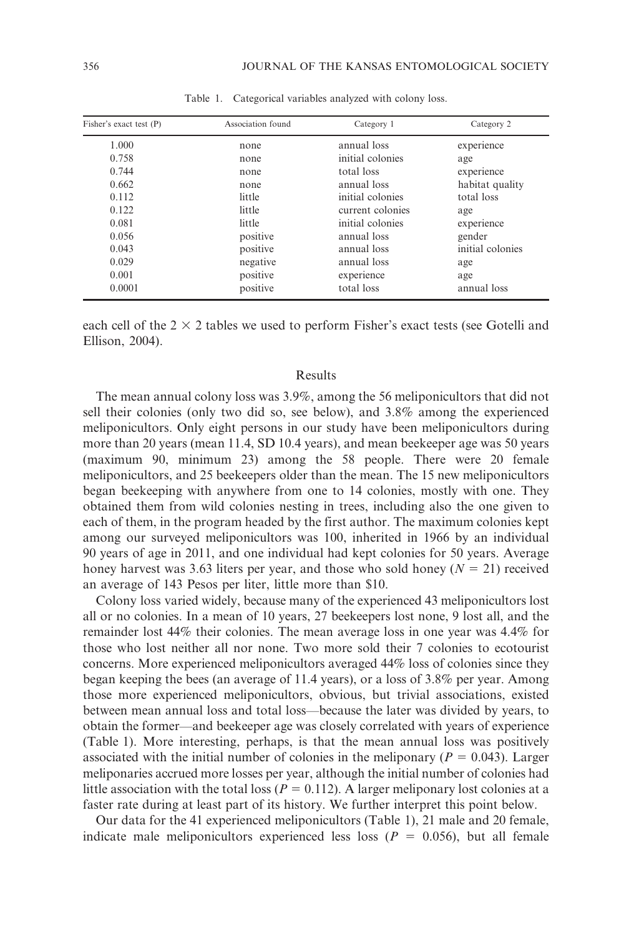| Fisher's exact test (P) | Association found | Category 1       | Category 2       |
|-------------------------|-------------------|------------------|------------------|
| 1.000                   | none              | annual loss      | experience       |
| 0.758                   | none              | initial colonies | age              |
| 0.744                   | none              | total loss       | experience       |
| 0.662                   | none              | annual loss      | habitat quality  |
| 0.112                   | little            | initial colonies | total loss       |
| 0.122                   | little            | current colonies | age              |
| 0.081                   | little            | initial colonies | experience       |
| 0.056                   | positive          | annual loss      | gender           |
| 0.043                   | positive          | annual loss      | initial colonies |
| 0.029                   | negative          | annual loss      | age              |
| 0.001                   | positive          | experience       | age              |
| 0.0001                  | positive          | total loss       | annual loss      |

Table 1. Categorical variables analyzed with colony loss.

each cell of the  $2 \times 2$  tables we used to perform Fisher's exact tests (see Gotelli and Ellison, 2004).

#### Results

The mean annual colony loss was 3.9%, among the 56 meliponicultors that did not sell their colonies (only two did so, see below), and 3.8% among the experienced meliponicultors. Only eight persons in our study have been meliponicultors during more than 20 years (mean 11.4, SD 10.4 years), and mean beekeeper age was 50 years (maximum 90, minimum 23) among the 58 people. There were 20 female meliponicultors, and 25 beekeepers older than the mean. The 15 new meliponicultors began beekeeping with anywhere from one to 14 colonies, mostly with one. They obtained them from wild colonies nesting in trees, including also the one given to each of them, in the program headed by the first author. The maximum colonies kept among our surveyed meliponicultors was 100, inherited in 1966 by an individual 90 years of age in 2011, and one individual had kept colonies for 50 years. Average honey harvest was 3.63 liters per year, and those who sold honey  $(N = 21)$  received an average of 143 Pesos per liter, little more than \$10.

Colony loss varied widely, because many of the experienced 43 meliponicultors lost all or no colonies. In a mean of 10 years, 27 beekeepers lost none, 9 lost all, and the remainder lost 44% their colonies. The mean average loss in one year was 4.4% for those who lost neither all nor none. Two more sold their 7 colonies to ecotourist concerns. More experienced meliponicultors averaged 44% loss of colonies since they began keeping the bees (an average of 11.4 years), or a loss of 3.8% per year. Among those more experienced meliponicultors, obvious, but trivial associations, existed between mean annual loss and total loss—because the later was divided by years, to obtain the former—and beekeeper age was closely correlated with years of experience (Table 1). More interesting, perhaps, is that the mean annual loss was positively associated with the initial number of colonies in the meliponary ( $P = 0.043$ ). Larger meliponaries accrued more losses per year, although the initial number of colonies had little association with the total loss ( $P = 0.112$ ). A larger meliponary lost colonies at a faster rate during at least part of its history. We further interpret this point below.

Our data for the 41 experienced meliponicultors (Table 1), 21 male and 20 female, indicate male meliponicultors experienced less loss ( $P = 0.056$ ), but all female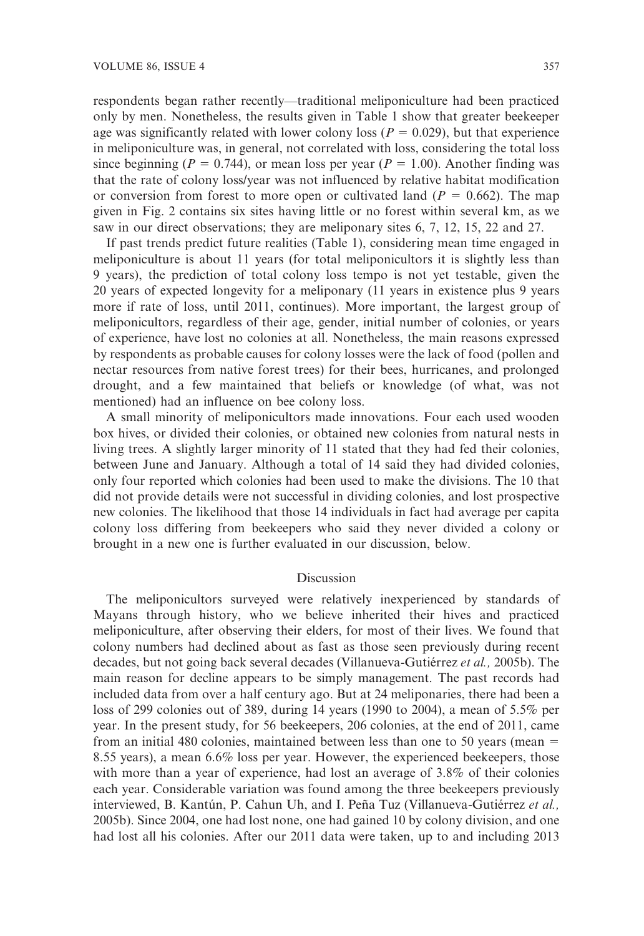respondents began rather recently—traditional meliponiculture had been practiced only by men. Nonetheless, the results given in Table 1 show that greater beekeeper age was significantly related with lower colony loss ( $P = 0.029$ ), but that experience in meliponiculture was, in general, not correlated with loss, considering the total loss since beginning ( $P = 0.744$ ), or mean loss per year ( $P = 1.00$ ). Another finding was that the rate of colony loss/year was not influenced by relative habitat modification or conversion from forest to more open or cultivated land ( $P = 0.662$ ). The map given in Fig. 2 contains six sites having little or no forest within several km, as we saw in our direct observations; they are meliponary sites 6, 7, 12, 15, 22 and 27.

If past trends predict future realities (Table 1), considering mean time engaged in meliponiculture is about 11 years (for total meliponicultors it is slightly less than 9 years), the prediction of total colony loss tempo is not yet testable, given the 20 years of expected longevity for a meliponary (11 years in existence plus 9 years more if rate of loss, until 2011, continues). More important, the largest group of meliponicultors, regardless of their age, gender, initial number of colonies, or years of experience, have lost no colonies at all. Nonetheless, the main reasons expressed by respondents as probable causes for colony losses were the lack of food (pollen and nectar resources from native forest trees) for their bees, hurricanes, and prolonged drought, and a few maintained that beliefs or knowledge (of what, was not mentioned) had an influence on bee colony loss.

A small minority of meliponicultors made innovations. Four each used wooden box hives, or divided their colonies, or obtained new colonies from natural nests in living trees. A slightly larger minority of 11 stated that they had fed their colonies, between June and January. Although a total of 14 said they had divided colonies, only four reported which colonies had been used to make the divisions. The 10 that did not provide details were not successful in dividing colonies, and lost prospective new colonies. The likelihood that those 14 individuals in fact had average per capita colony loss differing from beekeepers who said they never divided a colony or brought in a new one is further evaluated in our discussion, below.

### Discussion

The meliponicultors surveyed were relatively inexperienced by standards of Mayans through history, who we believe inherited their hives and practiced meliponiculture, after observing their elders, for most of their lives. We found that colony numbers had declined about as fast as those seen previously during recent decades, but not going back several decades (Villanueva-Gutiérrez et al., 2005b). The main reason for decline appears to be simply management. The past records had included data from over a half century ago. But at 24 meliponaries, there had been a loss of 299 colonies out of 389, during 14 years (1990 to 2004), a mean of 5.5% per year. In the present study, for 56 beekeepers, 206 colonies, at the end of 2011, came from an initial 480 colonies, maintained between less than one to 50 years (mean 5 8.55 years), a mean 6.6% loss per year. However, the experienced beekeepers, those with more than a year of experience, had lost an average of 3.8% of their colonies each year. Considerable variation was found among the three beekeepers previously interviewed, B. Kantún, P. Cahun Uh, and I. Peña Tuz (Villanueva-Gutiérrez et al., 2005b). Since 2004, one had lost none, one had gained 10 by colony division, and one had lost all his colonies. After our 2011 data were taken, up to and including 2013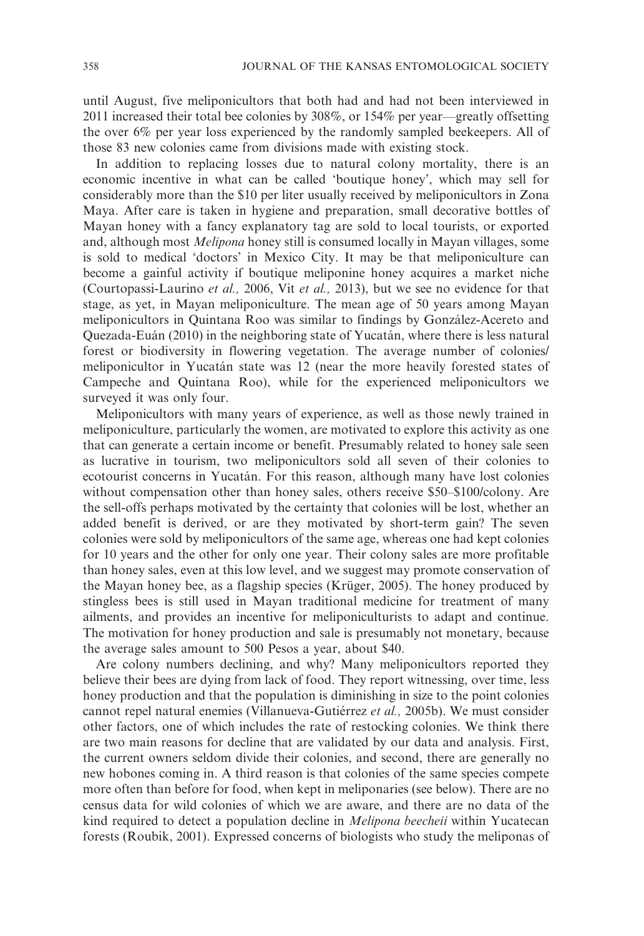until August, five meliponicultors that both had and had not been interviewed in 2011 increased their total bee colonies by 308%, or 154% per year—greatly offsetting the over 6% per year loss experienced by the randomly sampled beekeepers. All of those 83 new colonies came from divisions made with existing stock.

In addition to replacing losses due to natural colony mortality, there is an economic incentive in what can be called 'boutique honey', which may sell for considerably more than the \$10 per liter usually received by meliponicultors in Zona Maya. After care is taken in hygiene and preparation, small decorative bottles of Mayan honey with a fancy explanatory tag are sold to local tourists, or exported and, although most Melipona honey still is consumed locally in Mayan villages, some is sold to medical 'doctors' in Mexico City. It may be that meliponiculture can become a gainful activity if boutique meliponine honey acquires a market niche (Courtopassi-Laurino et al., 2006, Vit et al., 2013), but we see no evidence for that stage, as yet, in Mayan meliponiculture. The mean age of 50 years among Mayan meliponicultors in Quintana Roo was similar to findings by González-Acereto and Quezada-Euán (2010) in the neighboring state of Yucatán, where there is less natural forest or biodiversity in flowering vegetation. The average number of colonies/ meliponicultor in Yucatán state was 12 (near the more heavily forested states of Campeche and Quintana Roo), while for the experienced meliponicultors we surveyed it was only four.

Meliponicultors with many years of experience, as well as those newly trained in meliponiculture, particularly the women, are motivated to explore this activity as one that can generate a certain income or benefit. Presumably related to honey sale seen as lucrative in tourism, two meliponicultors sold all seven of their colonies to ecotourist concerns in Yucatán. For this reason, although many have lost colonies without compensation other than honey sales, others receive \$50–\$100/colony. Are the sell-offs perhaps motivated by the certainty that colonies will be lost, whether an added benefit is derived, or are they motivated by short-term gain? The seven colonies were sold by meliponicultors of the same age, whereas one had kept colonies for 10 years and the other for only one year. Their colony sales are more profitable than honey sales, even at this low level, and we suggest may promote conservation of the Mayan honey bee, as a flagship species (Krüger, 2005). The honey produced by stingless bees is still used in Mayan traditional medicine for treatment of many ailments, and provides an incentive for meliponiculturists to adapt and continue. The motivation for honey production and sale is presumably not monetary, because the average sales amount to 500 Pesos a year, about \$40.

Are colony numbers declining, and why? Many meliponicultors reported they believe their bees are dying from lack of food. They report witnessing, over time, less honey production and that the population is diminishing in size to the point colonies cannot repel natural enemies (Villanueva-Gutiérrez et al., 2005b). We must consider other factors, one of which includes the rate of restocking colonies. We think there are two main reasons for decline that are validated by our data and analysis. First, the current owners seldom divide their colonies, and second, there are generally no new hobones coming in. A third reason is that colonies of the same species compete more often than before for food, when kept in meliponaries (see below). There are no census data for wild colonies of which we are aware, and there are no data of the kind required to detect a population decline in Melipona beecheii within Yucatecan forests (Roubik, 2001). Expressed concerns of biologists who study the meliponas of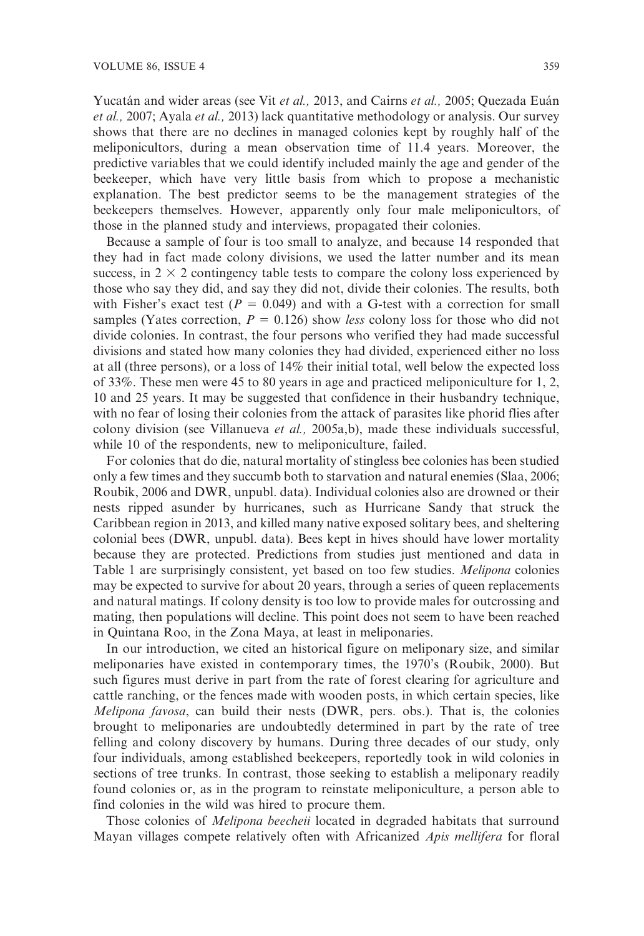Yucatán and wider areas (see Vit et al., 2013, and Cairns et al., 2005; Quezada Euán et al., 2007; Ayala et al., 2013) lack quantitative methodology or analysis. Our survey shows that there are no declines in managed colonies kept by roughly half of the meliponicultors, during a mean observation time of 11.4 years. Moreover, the predictive variables that we could identify included mainly the age and gender of the beekeeper, which have very little basis from which to propose a mechanistic explanation. The best predictor seems to be the management strategies of the beekeepers themselves. However, apparently only four male meliponicultors, of those in the planned study and interviews, propagated their colonies.

Because a sample of four is too small to analyze, and because 14 responded that they had in fact made colony divisions, we used the latter number and its mean success, in  $2 \times 2$  contingency table tests to compare the colony loss experienced by those who say they did, and say they did not, divide their colonies. The results, both with Fisher's exact test ( $P = 0.049$ ) and with a G-test with a correction for small samples (Yates correction,  $P = 0.126$ ) show *less* colony loss for those who did not divide colonies. In contrast, the four persons who verified they had made successful divisions and stated how many colonies they had divided, experienced either no loss at all (three persons), or a loss of 14% their initial total, well below the expected loss of 33%. These men were 45 to 80 years in age and practiced meliponiculture for 1, 2, 10 and 25 years. It may be suggested that confidence in their husbandry technique, with no fear of losing their colonies from the attack of parasites like phorid flies after colony division (see Villanueva et al., 2005a,b), made these individuals successful, while 10 of the respondents, new to meliponiculture, failed.

For colonies that do die, natural mortality of stingless bee colonies has been studied only a few times and they succumb both to starvation and natural enemies (Slaa, 2006; Roubik, 2006 and DWR, unpubl. data). Individual colonies also are drowned or their nests ripped asunder by hurricanes, such as Hurricane Sandy that struck the Caribbean region in 2013, and killed many native exposed solitary bees, and sheltering colonial bees (DWR, unpubl. data). Bees kept in hives should have lower mortality because they are protected. Predictions from studies just mentioned and data in Table 1 are surprisingly consistent, yet based on too few studies. Melipona colonies may be expected to survive for about 20 years, through a series of queen replacements and natural matings. If colony density is too low to provide males for outcrossing and mating, then populations will decline. This point does not seem to have been reached in Quintana Roo, in the Zona Maya, at least in meliponaries.

In our introduction, we cited an historical figure on meliponary size, and similar meliponaries have existed in contemporary times, the 1970's (Roubik, 2000). But such figures must derive in part from the rate of forest clearing for agriculture and cattle ranching, or the fences made with wooden posts, in which certain species, like Melipona favosa, can build their nests (DWR, pers. obs.). That is, the colonies brought to meliponaries are undoubtedly determined in part by the rate of tree felling and colony discovery by humans. During three decades of our study, only four individuals, among established beekeepers, reportedly took in wild colonies in sections of tree trunks. In contrast, those seeking to establish a meliponary readily found colonies or, as in the program to reinstate meliponiculture, a person able to find colonies in the wild was hired to procure them.

Those colonies of *Melipona beecheii* located in degraded habitats that surround Mayan villages compete relatively often with Africanized Apis mellifera for floral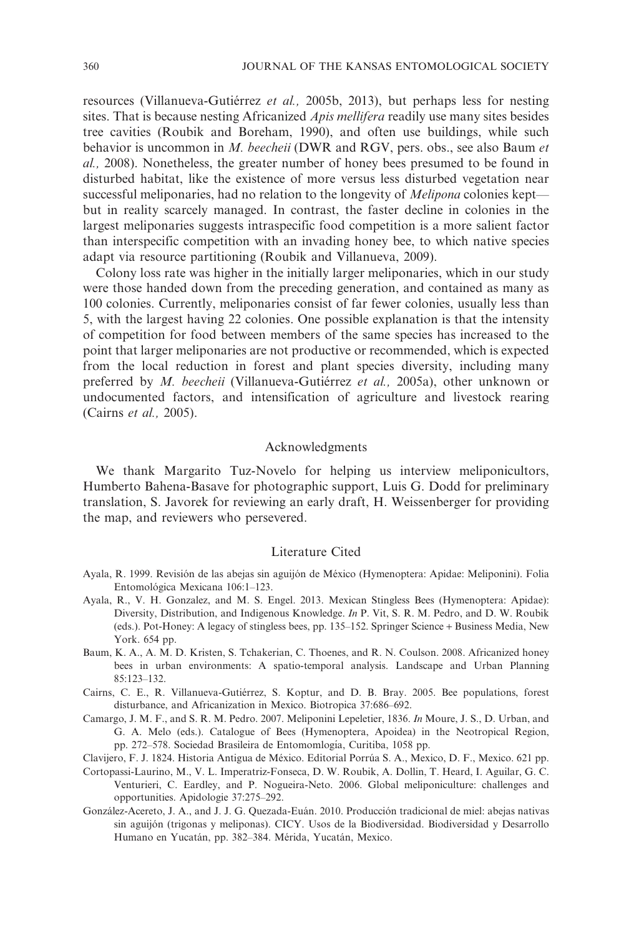resources (Villanueva-Gutiérrez et al., 2005b, 2013), but perhaps less for nesting sites. That is because nesting Africanized Apis mellifera readily use many sites besides tree cavities (Roubik and Boreham, 1990), and often use buildings, while such behavior is uncommon in M. beecheii (DWR and RGV, pers. obs., see also Baum et al., 2008). Nonetheless, the greater number of honey bees presumed to be found in disturbed habitat, like the existence of more versus less disturbed vegetation near successful meliponaries, had no relation to the longevity of *Melipona* colonies kept but in reality scarcely managed. In contrast, the faster decline in colonies in the largest meliponaries suggests intraspecific food competition is a more salient factor than interspecific competition with an invading honey bee, to which native species adapt via resource partitioning (Roubik and Villanueva, 2009).

Colony loss rate was higher in the initially larger meliponaries, which in our study were those handed down from the preceding generation, and contained as many as 100 colonies. Currently, meliponaries consist of far fewer colonies, usually less than 5, with the largest having 22 colonies. One possible explanation is that the intensity of competition for food between members of the same species has increased to the point that larger meliponaries are not productive or recommended, which is expected from the local reduction in forest and plant species diversity, including many preferred by M. beecheii (Villanueva-Gutiérrez et al., 2005a), other unknown or undocumented factors, and intensification of agriculture and livestock rearing (Cairns et al., 2005).

## Acknowledgments

We thank Margarito Tuz-Novelo for helping us interview meliponicultors, Humberto Bahena-Basave for photographic support, Luis G. Dodd for preliminary translation, S. Javorek for reviewing an early draft, H. Weissenberger for providing the map, and reviewers who persevered.

#### Literature Cited

- Ayala, R. 1999. Revisión de las abejas sin aguijón de México (Hymenoptera: Apidae: Meliponini). Folia Entomológica Mexicana 106:1-123.
- Ayala, R., V. H. Gonzalez, and M. S. Engel. 2013. Mexican Stingless Bees (Hymenoptera: Apidae): Diversity, Distribution, and Indigenous Knowledge. In P. Vit, S. R. M. Pedro, and D. W. Roubik (eds.). Pot-Honey: A legacy of stingless bees, pp. 135–152. Springer Science + Business Media, New York. 654 pp.
- Baum, K. A., A. M. D. Kristen, S. Tchakerian, C. Thoenes, and R. N. Coulson. 2008. Africanized honey bees in urban environments: A spatio-temporal analysis. Landscape and Urban Planning 85:123–132.
- Cairns, C. E., R. Villanueva-Gutiérrez, S. Koptur, and D. B. Bray. 2005. Bee populations, forest disturbance, and Africanization in Mexico. Biotropica 37:686–692.
- Camargo, J. M. F., and S. R. M. Pedro. 2007. Meliponini Lepeletier, 1836. In Moure, J. S., D. Urban, and G. A. Melo (eds.). Catalogue of Bees (Hymenoptera, Apoidea) in the Neotropical Region, pp. 272–578. Sociedad Brasileira de Entomomlogía, Curitiba, 1058 pp.
- Clavijero, F. J. 1824. Historia Antigua de México. Editorial Porrúa S. A., Mexico, D. F., Mexico. 621 pp.
- Cortopassi-Laurino, M., V. L. Imperatriz-Fonseca, D. W. Roubik, A. Dollin, T. Heard, I. Aguilar, G. C. Venturieri, C. Eardley, and P. Nogueira-Neto. 2006. Global meliponiculture: challenges and opportunities. Apidologie 37:275–292.
- González-Acereto, J. A., and J. J. G. Quezada-Euán. 2010. Producción tradicional de miel: abejas nativas sin aguijón (trigonas y meliponas). CICY. Usos de la Biodiversidad. Biodiversidad y Desarrollo Humano en Yucatán, pp. 382-384. Mérida, Yucatán, Mexico.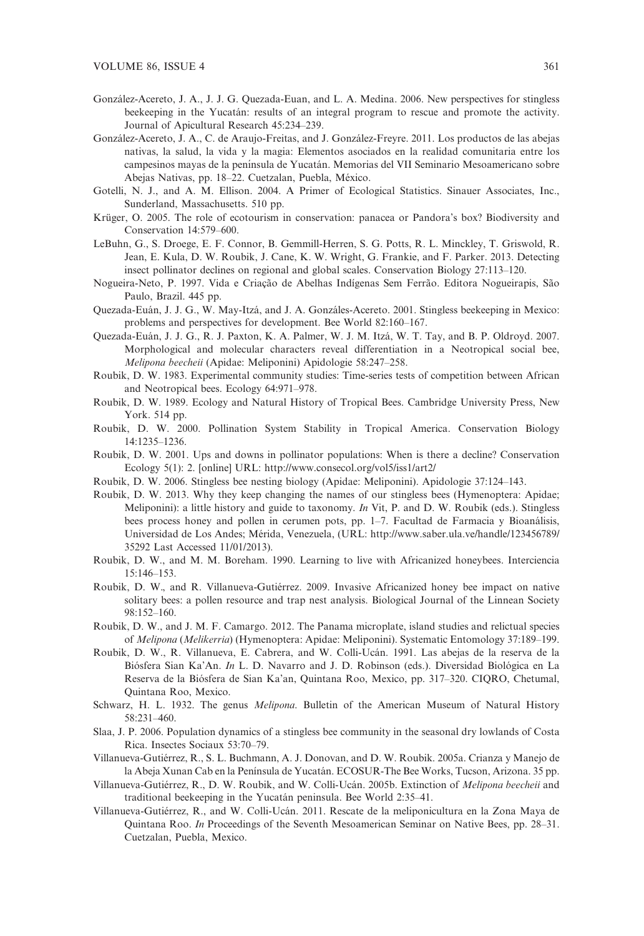- González-Acereto, J. A., J. J. G. Quezada-Euan, and L. A. Medina. 2006. New perspectives for stingless beekeeping in the Yucatán: results of an integral program to rescue and promote the activity. Journal of Apicultural Research 45:234–239.
- González-Acereto, J. A., C. de Araujo-Freitas, and J. González-Freyre. 2011. Los productos de las abejas nativas, la salud, la vida y la magia: Elementos asociados en la realidad comunitaria entre los campesinos mayas de la península de Yucatán. Memorias del VII Seminario Mesoamericano sobre Abejas Nativas, pp. 18-22. Cuetzalan, Puebla, México.
- Gotelli, N. J., and A. M. Ellison. 2004. A Primer of Ecological Statistics. Sinauer Associates, Inc., Sunderland, Massachusetts. 510 pp.
- Krüger, O. 2005. The role of ecotourism in conservation: panacea or Pandora's box? Biodiversity and Conservation 14:579–600.
- LeBuhn, G., S. Droege, E. F. Connor, B. Gemmill-Herren, S. G. Potts, R. L. Minckley, T. Griswold, R. Jean, E. Kula, D. W. Roubik, J. Cane, K. W. Wright, G. Frankie, and F. Parker. 2013. Detecting insect pollinator declines on regional and global scales. Conservation Biology 27:113–120.
- Nogueira-Neto, P. 1997. Vida e Criação de Abelhas Indígenas Sem Ferrão. Editora Nogueirapis, São Paulo, Brazil. 445 pp.
- Quezada-Euán, J. J. G., W. May-Itzá, and J. A. Gonzáles-Acereto. 2001. Stingless beekeeping in Mexico: problems and perspectives for development. Bee World 82:160–167.
- Quezada-Euán, J. J. G., R. J. Paxton, K. A. Palmer, W. J. M. Itzá, W. T. Tay, and B. P. Oldroyd. 2007. Morphological and molecular characters reveal differentiation in a Neotropical social bee, Melipona beecheii (Apidae: Meliponini) Apidologie 58:247–258.
- Roubik, D. W. 1983. Experimental community studies: Time-series tests of competition between African and Neotropical bees. Ecology 64:971–978.
- Roubik, D. W. 1989. Ecology and Natural History of Tropical Bees. Cambridge University Press, New York. 514 pp.
- Roubik, D. W. 2000. Pollination System Stability in Tropical America. Conservation Biology 14:1235–1236.
- Roubik, D. W. 2001. Ups and downs in pollinator populations: When is there a decline? Conservation Ecology 5(1): 2. [online] URL: http://www.consecol.org/vol5/iss1/art2/
- Roubik, D. W. 2006. Stingless bee nesting biology (Apidae: Meliponini). Apidologie 37:124–143.
- Roubik, D. W. 2013. Why they keep changing the names of our stingless bees (Hymenoptera: Apidae; Meliponini): a little history and guide to taxonomy. In Vit, P. and D. W. Roubik (eds.). Stingless bees process honey and pollen in cerumen pots, pp.  $1-7$ . Facultad de Farmacia y Bioanálisis, Universidad de Los Andes; Mérida, Venezuela, (URL: http://www.saber.ula.ve/handle/123456789/ 35292 Last Accessed 11/01/2013).
- Roubik, D. W., and M. M. Boreham. 1990. Learning to live with Africanized honeybees. Interciencia 15:146–153.
- Roubik, D. W., and R. Villanueva-Gutiérrez. 2009. Invasive Africanized honey bee impact on native solitary bees: a pollen resource and trap nest analysis. Biological Journal of the Linnean Society 98:152–160.
- Roubik, D. W., and J. M. F. Camargo. 2012. The Panama microplate, island studies and relictual species of Melipona (Melikerria) (Hymenoptera: Apidae: Meliponini). Systematic Entomology 37:189–199.
- Roubik, D. W., R. Villanueva, E. Cabrera, and W. Colli-Ucán. 1991. Las abejas de la reserva de la Biósfera Sian Ka'An. In L. D. Navarro and J. D. Robinson (eds.). Diversidad Biológica en La Reserva de la Biósfera de Sian Ka'an, Quintana Roo, Mexico, pp. 317-320. CIQRO, Chetumal, Quintana Roo, Mexico.
- Schwarz, H. L. 1932. The genus *Melipona*. Bulletin of the American Museum of Natural History 58:231–460.
- Slaa, J. P. 2006. Population dynamics of a stingless bee community in the seasonal dry lowlands of Costa Rica. Insectes Sociaux 53:70–79.
- Villanueva-Gutiérrez, R., S. L. Buchmann, A. J. Donovan, and D. W. Roubik. 2005a. Crianza y Manejo de la Abeja Xunan Cab en la Península de Yucatán. ECOSUR-The Bee Works, Tucson, Arizona. 35 pp.
- Villanueva-Gutiérrez, R., D. W. Roubik, and W. Colli-Ucán. 2005b. Extinction of Melipona beecheii and traditional beekeeping in the Yucatán peninsula. Bee World 2:35-41.
- Villanueva-Gutiérrez, R., and W. Colli-Ucán. 2011. Rescate de la meliponicultura en la Zona Maya de Quintana Roo. In Proceedings of the Seventh Mesoamerican Seminar on Native Bees, pp. 28–31. Cuetzalan, Puebla, Mexico.